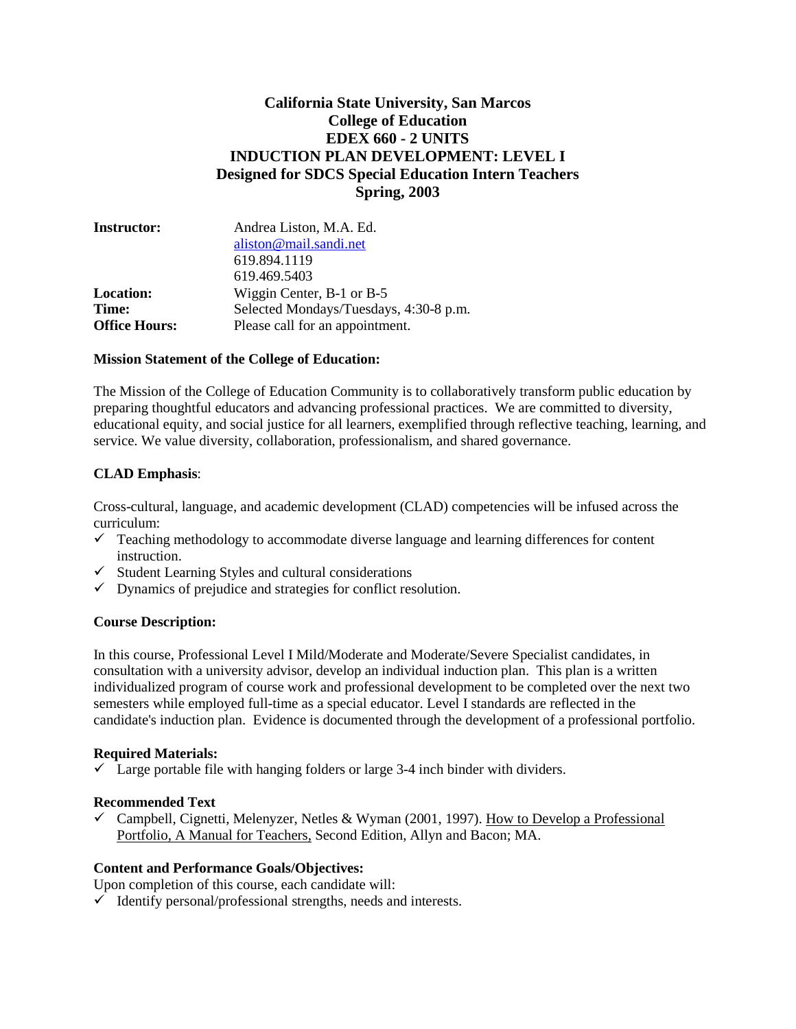## **California State University, San Marcos College of Education EDEX 660 - 2 UNITS INDUCTION PLAN DEVELOPMENT: LEVEL I Designed for SDCS Special Education Intern Teachers Spring, 2003**

| <b>Instructor:</b>   | Andrea Liston, M.A. Ed.                |  |
|----------------------|----------------------------------------|--|
|                      | aliston@mail.sandi.net                 |  |
|                      | 619.894.1119                           |  |
|                      | 619.469.5403                           |  |
| <b>Location:</b>     | Wiggin Center, B-1 or B-5              |  |
| Time:                | Selected Mondays/Tuesdays, 4:30-8 p.m. |  |
| <b>Office Hours:</b> | Please call for an appointment.        |  |

#### **Mission Statement of the College of Education:**

The Mission of the College of Education Community is to collaboratively transform public education by preparing thoughtful educators and advancing professional practices. We are committed to diversity, educational equity, and social justice for all learners, exemplified through reflective teaching, learning, and service. We value diversity, collaboration, professionalism, and shared governance.

### **CLAD Emphasis**:

Cross-cultural, language, and academic development (CLAD) competencies will be infused across the curriculum:

- $\checkmark$  Teaching methodology to accommodate diverse language and learning differences for content instruction.
- $\checkmark$  Student Learning Styles and cultural considerations
- $\checkmark$  Dynamics of prejudice and strategies for conflict resolution.

### **Course Description:**

In this course, Professional Level I Mild/Moderate and Moderate/Severe Specialist candidates, in consultation with a university advisor, develop an individual induction plan. This plan is a written individualized program of course work and professional development to be completed over the next two semesters while employed full-time as a special educator. Level I standards are reflected in the candidate's induction plan. Evidence is documented through the development of a professional portfolio.

### **Required Materials:**

 $\checkmark$  Large portable file with hanging folders or large 3-4 inch binder with dividers.

### **Recommended Text**

 $\checkmark$  Campbell, Cignetti, Melenyzer, Netles & Wyman (2001, 1997). How to Develop a Professional Portfolio, A Manual for Teachers, Second Edition, Allyn and Bacon; MA.

### **Content and Performance Goals/Objectives:**

Upon completion of this course, each candidate will:

 $\checkmark$  Identify personal/professional strengths, needs and interests.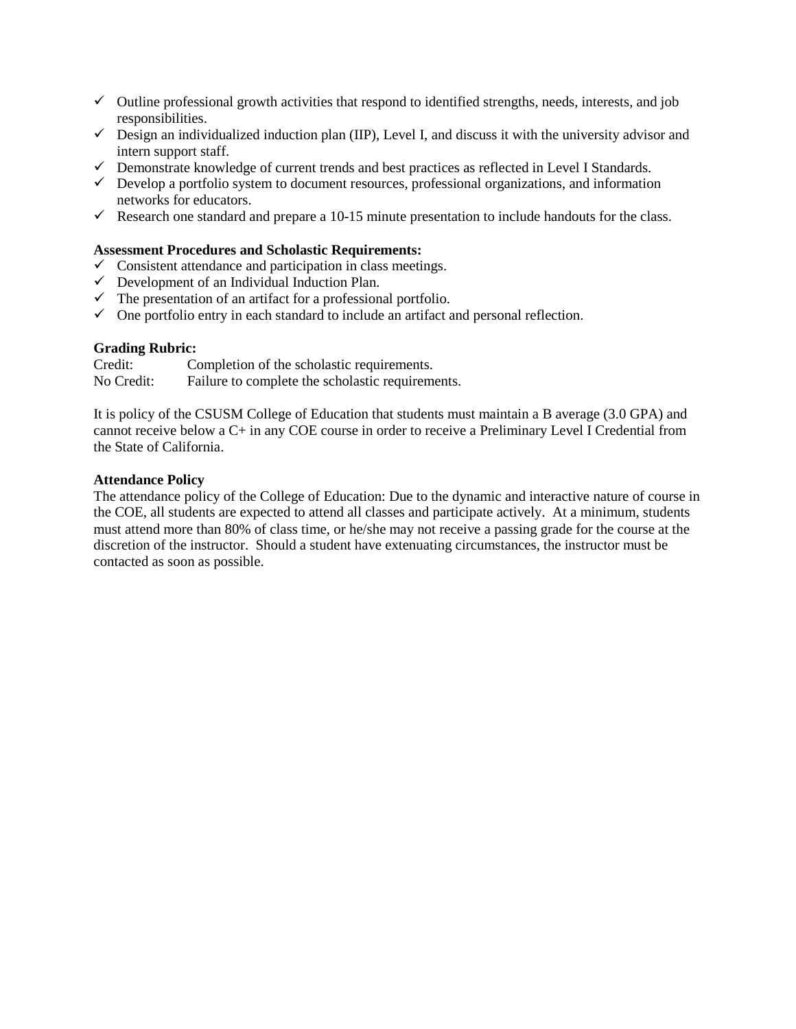- $\checkmark$  Outline professional growth activities that respond to identified strengths, needs, interests, and job responsibilities.
- $\checkmark$  Design an individualized induction plan (IIP), Level I, and discuss it with the university advisor and intern support staff.
- $\checkmark$  Demonstrate knowledge of current trends and best practices as reflected in Level I Standards.
- $\checkmark$  Develop a portfolio system to document resources, professional organizations, and information networks for educators.
- Research one standard and prepare a 10-15 minute presentation to include handouts for the class.

### **Assessment Procedures and Scholastic Requirements:**

- $\checkmark$  Consistent attendance and participation in class meetings.
- $\checkmark$  Development of an Individual Induction Plan.
- $\checkmark$  The presentation of an artifact for a professional portfolio.
- $\checkmark$  One portfolio entry in each standard to include an artifact and personal reflection.

# **Grading Rubric:**<br>Credit: Co

Completion of the scholastic requirements. No Credit: Failure to complete the scholastic requirements.

It is policy of the CSUSM College of Education that students must maintain a B average (3.0 GPA) and cannot receive below a C+ in any COE course in order to receive a Preliminary Level I Credential from the State of California.

### **Attendance Policy**

The attendance policy of the College of Education: Due to the dynamic and interactive nature of course in the COE, all students are expected to attend all classes and participate actively. At a minimum, students must attend more than 80% of class time, or he/she may not receive a passing grade for the course at the discretion of the instructor. Should a student have extenuating circumstances, the instructor must be contacted as soon as possible.